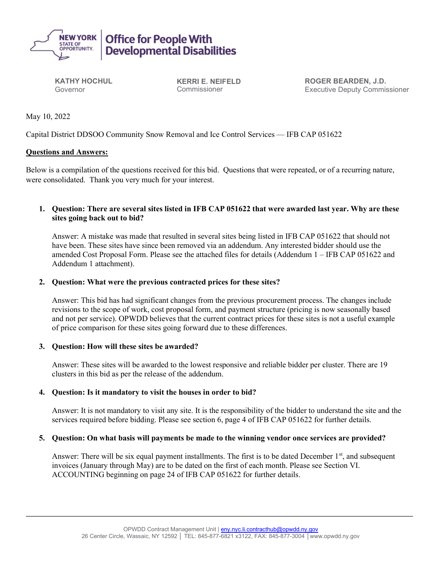

KATHY HOCHUL Governor

KERRI E. NEIFELD Commissioner

ROGER BEARDEN, J.D. Executive Deputy Commissioner

May 10, 2022

Capital District DDSOO Community Snow Removal and Ice Control Services –– IFB CAP 051622

## Questions and Answers:

Below is a compilation of the questions received for this bid. Questions that were repeated, or of a recurring nature, were consolidated. Thank you very much for your interest.

# 1. Question: There are several sites listed in IFB CAP 051622 that were awarded last year. Why are these sites going back out to bid?

Answer: A mistake was made that resulted in several sites being listed in IFB CAP 051622 that should not have been. These sites have since been removed via an addendum. Any interested bidder should use the amended Cost Proposal Form. Please see the attached files for details (Addendum 1 – IFB CAP 051622 and Addendum 1 attachment).

# 2. Question: What were the previous contracted prices for these sites?

Answer: This bid has had significant changes from the previous procurement process. The changes include revisions to the scope of work, cost proposal form, and payment structure (pricing is now seasonally based and not per service). OPWDD believes that the current contract prices for these sites is not a useful example of price comparison for these sites going forward due to these differences.

## 3. Question: How will these sites be awarded?

Answer: These sites will be awarded to the lowest responsive and reliable bidder per cluster. There are 19 clusters in this bid as per the release of the addendum.

## 4. Question: Is it mandatory to visit the houses in order to bid?

Answer: It is not mandatory to visit any site. It is the responsibility of the bidder to understand the site and the services required before bidding. Please see section 6, page 4 of IFB CAP 051622 for further details.

## 5. Question: On what basis will payments be made to the winning vendor once services are provided?

Answer: There will be six equal payment installments. The first is to be dated December 1<sup>st</sup>, and subsequent invoices (January through May) are to be dated on the first of each month. Please see Section VI. ACCOUNTING beginning on page 24 of IFB CAP 051622 for further details.